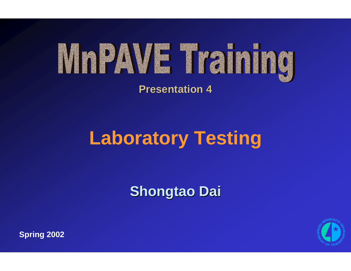

**Presentation 4 Presentation 4**

# **Laboratory Testing**

### **Shongtao Shongtao Dai**



**Spring 2002**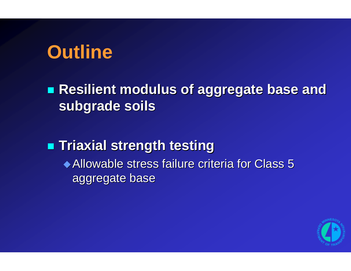## **Outline**

### ■ Resilient modulus of aggregate base and **subgrade soils subgrade soils**

 **Triaxial Triaxial strength testing strength testing** ◆ Allowable stress failure criteria for Class 5 aggregate base

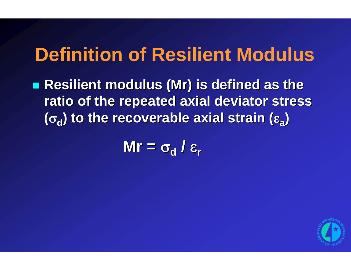# **Definition of Resilient Modulus**

 **Resilient modulus ( Resilient modulus (Mr) is defined as the ) is defined as the ratio of the repeated axial deviator stress ratio of the repeated axial deviator stress (**σ**d) to the recoverable axial strain ( ) to the recoverable axial strain (**ε**a)**

> **Mr<sup>=</sup>**σ**<sup>d</sup> /** <sup>ε</sup>**<sup>r</sup>**

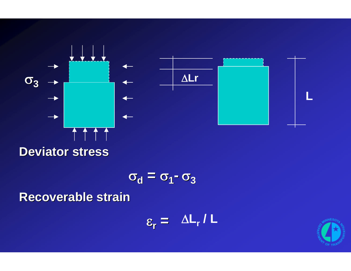

**Deviator stress Deviator stress**

<sup>σ</sup>**d <sup>=</sup>**σ**1-** <sup>σ</sup>**<sup>3</sup>**

**Recoverable strain** 

$$
\varepsilon_{\mathsf{r}} = \Delta \mathsf{L}_{\mathsf{r}} / \mathsf{L}
$$

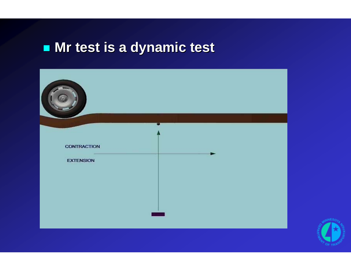#### **Mr test is a dynamic test test is a dynamic test**



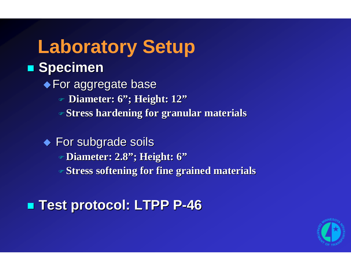**Specimen For aggregate base** ) **Diameter: 6"; Height: 12" Diameter: 6"; Height: 12"** )**Stress hardening for granular materials Stress hardening for granular materials**  $\blacklozenge$  For subgrade soils )**Diameter: 2.8"; Height: 6" Diameter: 2.8"; Height: 6" Laboratory Setup**

)**Stress softening for fine grained materials Stress softening for fine grained materials**

### **Test protocol: LTPP P Test protocol: LTPP P-46**

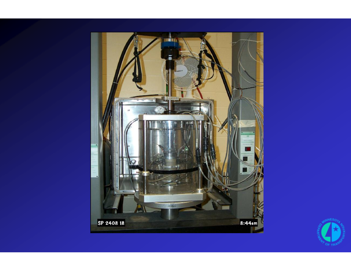

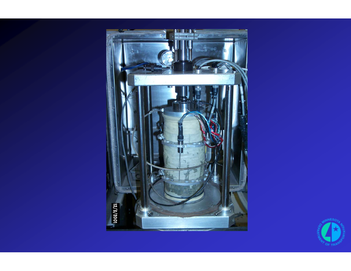

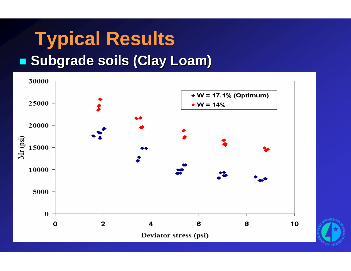## **Typical Results E** Subgrade soils (Clay Loam)

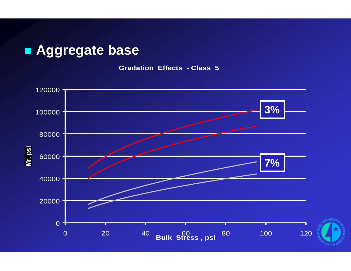#### **Aggregate base Aggregate base**

**Gradation Effects - Class 5**

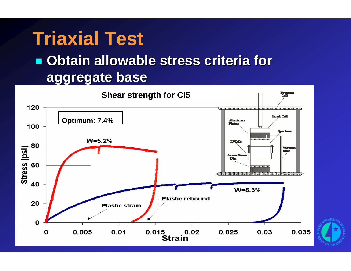## **Triaxial Test** ■ Obtain allowable stress criteria for **aggregate base aggregate base**

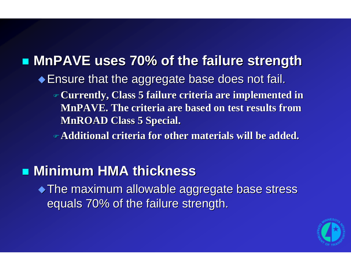$\blacksquare$  **MnPAVE uses 70% of the failure strength**  $\triangle$  Ensure that the aggregate base does not fail.

- $\in$  Currently, Class 5 failure criteria are implemented in **MnPAVE. The criteria are based on test results from MnROAD Class 5 Special. Class 5 Special.**
- )**Additional criteria for other materials will be added. Additional criteria for other materials will be added.**

#### $\blacksquare$  **Minimum HMA thickness**

 $\triangle$ The maximum allowable aggregate base stress equals 70% of the failure strength.